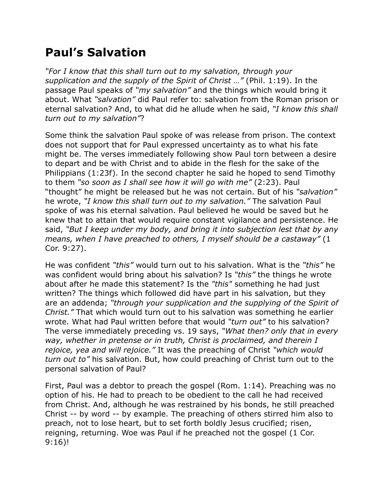## **Paul's Salvation**

*"For I know that this shall turn out to my salvation, through your supplication and the supply of the Spirit of Christ …"* (Phil. 1:19). In the passage Paul speaks of *"my salvation"* and the things which would bring it about. What *"salvation"* did Paul refer to: salvation from the Roman prison or eternal salvation? And, to what did he allude when he said, *"I know this shall turn out to my salvation"*?

Some think the salvation Paul spoke of was release from prison. The context does not support that for Paul expressed uncertainty as to what his fate might be. The verses immediately following show Paul torn between a desire to depart and be with Christ and to abide in the flesh for the sake of the Philippians (1:23f). In the second chapter he said he hoped to send Timothy to them *"so soon as I shall see how it will go with me"* (2:23). Paul "thought" he might be released but he was not certain. But of his *"salvation"* he wrote, *"I know this shall turn out to my salvation."* The salvation Paul spoke of was his eternal salvation. Paul believed he would be saved but he knew that to attain that would require constant vigilance and persistence. He said, *"But I keep under my body, and bring it into subjection lest that by any means, when I have preached to others, I myself should be a castaway"* (1 Cor. 9:27).

He was confident *"this"* would turn out to his salvation. What is the *"this"* he was confident would bring about his salvation? Is *"this"* the things he wrote about after he made this statement? Is the *"this"* something he had just written? The things which followed did have part in his salvation, but they are an addenda; *"through your supplication and the supplying of the Spirit of Christ."* That which would turn out to his salvation was something he earlier wrote. What had Paul written before that would *"turn out"* to his salvation? The verse immediately preceding vs. 19 says, *"What then? only that in every way, whether in pretense or in truth, Christ is proclaimed, and therein I rejoice, yea and will rejoice."* It was the preaching of Christ *"which would turn out to"* his salvation. But, how could preaching of Christ turn out to the personal salvation of Paul?

First, Paul was a debtor to preach the gospel (Rom. 1:14). Preaching was no option of his. He had to preach to be obedient to the call he had received from Christ. And, although he was restrained by his bonds, he still preached Christ -- by word -- by example. The preaching of others stirred him also to preach, not to lose heart, but to set forth boldly Jesus crucified; risen, reigning, returning. Woe was Paul if he preached not the gospel (1 Cor. 9:16)!